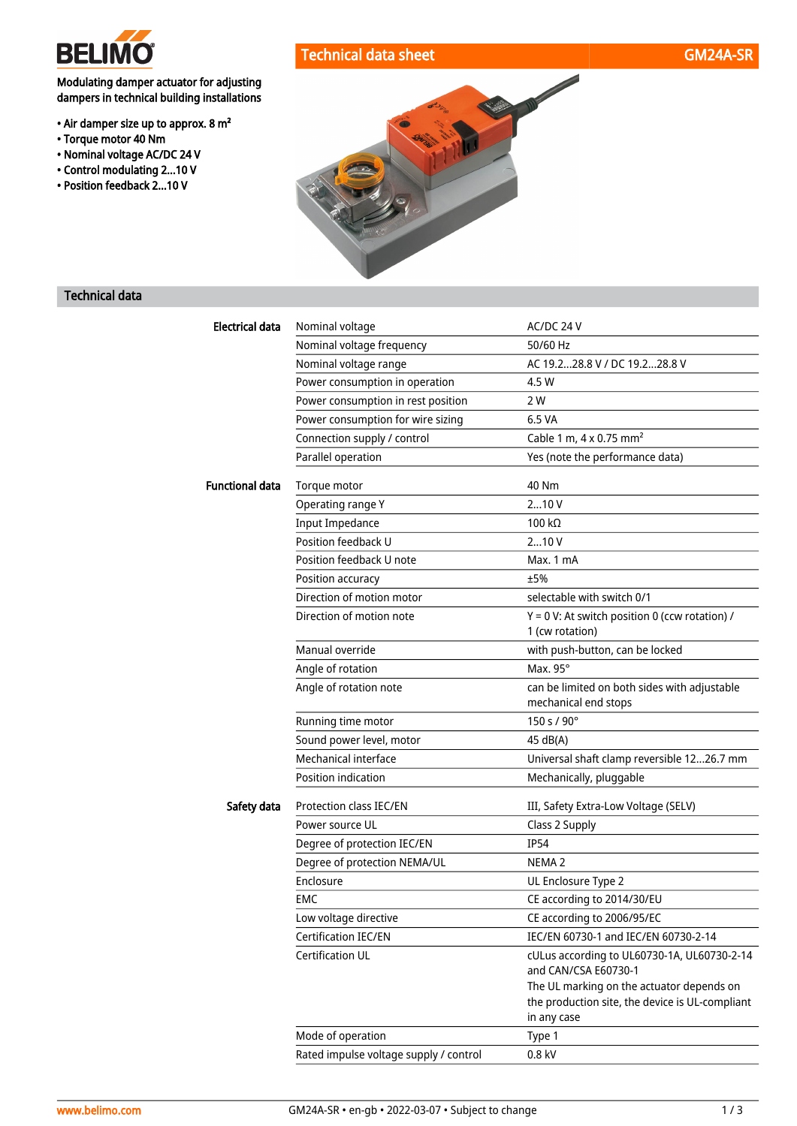

• Torque motor 40 Nm • Nominal voltage AC/DC 24 V • Control modulating 2...10 V • Position feedback 2...10 V

Modulating damper actuator for adjusting dampers in technical building installations

• Air damper size up to approx. 8 m²



## Technical data

| Electrical data        | Nominal voltage                        | AC/DC 24 V                                                                                                  |  |
|------------------------|----------------------------------------|-------------------------------------------------------------------------------------------------------------|--|
|                        | Nominal voltage frequency              | 50/60 Hz                                                                                                    |  |
|                        | Nominal voltage range                  | AC 19.228.8 V / DC 19.228.8 V                                                                               |  |
|                        | Power consumption in operation         | 4.5 W                                                                                                       |  |
|                        | Power consumption in rest position     | 2 W                                                                                                         |  |
|                        | Power consumption for wire sizing      | 6.5 VA                                                                                                      |  |
|                        | Connection supply / control            | Cable 1 m, $4 \times 0.75$ mm <sup>2</sup>                                                                  |  |
|                        | Parallel operation                     | Yes (note the performance data)                                                                             |  |
| <b>Functional data</b> | Torque motor                           | 40 Nm                                                                                                       |  |
|                        | Operating range Y                      | 210V                                                                                                        |  |
|                        | <b>Input Impedance</b>                 | 100 k $\Omega$                                                                                              |  |
|                        | Position feedback U                    | 210V                                                                                                        |  |
|                        | Position feedback U note               | Max. 1 mA                                                                                                   |  |
|                        | Position accuracy                      | ±5%                                                                                                         |  |
|                        | Direction of motion motor              | selectable with switch 0/1                                                                                  |  |
|                        | Direction of motion note               | $Y = 0$ V: At switch position 0 (ccw rotation) /                                                            |  |
|                        |                                        | 1 (cw rotation)                                                                                             |  |
|                        | Manual override                        | with push-button, can be locked                                                                             |  |
|                        | Angle of rotation                      | Max. 95°                                                                                                    |  |
|                        | Angle of rotation note                 | can be limited on both sides with adjustable<br>mechanical end stops                                        |  |
|                        | Running time motor                     | 150 s / 90°                                                                                                 |  |
|                        | Sound power level, motor               | 45 dB(A)                                                                                                    |  |
|                        | Mechanical interface                   | Universal shaft clamp reversible 1226.7 mm                                                                  |  |
|                        | Position indication                    | Mechanically, pluggable                                                                                     |  |
| Safety data            | Protection class IEC/EN                | III, Safety Extra-Low Voltage (SELV)                                                                        |  |
|                        | Power source UL                        | Class 2 Supply                                                                                              |  |
|                        | Degree of protection IEC/EN            | <b>IP54</b>                                                                                                 |  |
|                        | Degree of protection NEMA/UL           | NEMA <sub>2</sub>                                                                                           |  |
|                        | Enclosure                              | UL Enclosure Type 2                                                                                         |  |
|                        | EMC                                    | CE according to 2014/30/EU                                                                                  |  |
|                        | Low voltage directive                  | CE according to 2006/95/EC                                                                                  |  |
|                        | Certification IEC/EN                   | IEC/EN 60730-1 and IEC/EN 60730-2-14                                                                        |  |
|                        | Certification UL                       | cULus according to UL60730-1A, UL60730-2-14<br>and CAN/CSA E60730-1                                         |  |
|                        |                                        | The UL marking on the actuator depends on<br>the production site, the device is UL-compliant<br>in any case |  |
|                        | Mode of operation                      | Type 1                                                                                                      |  |
|                        | Rated impulse voltage supply / control | 0.8 kV                                                                                                      |  |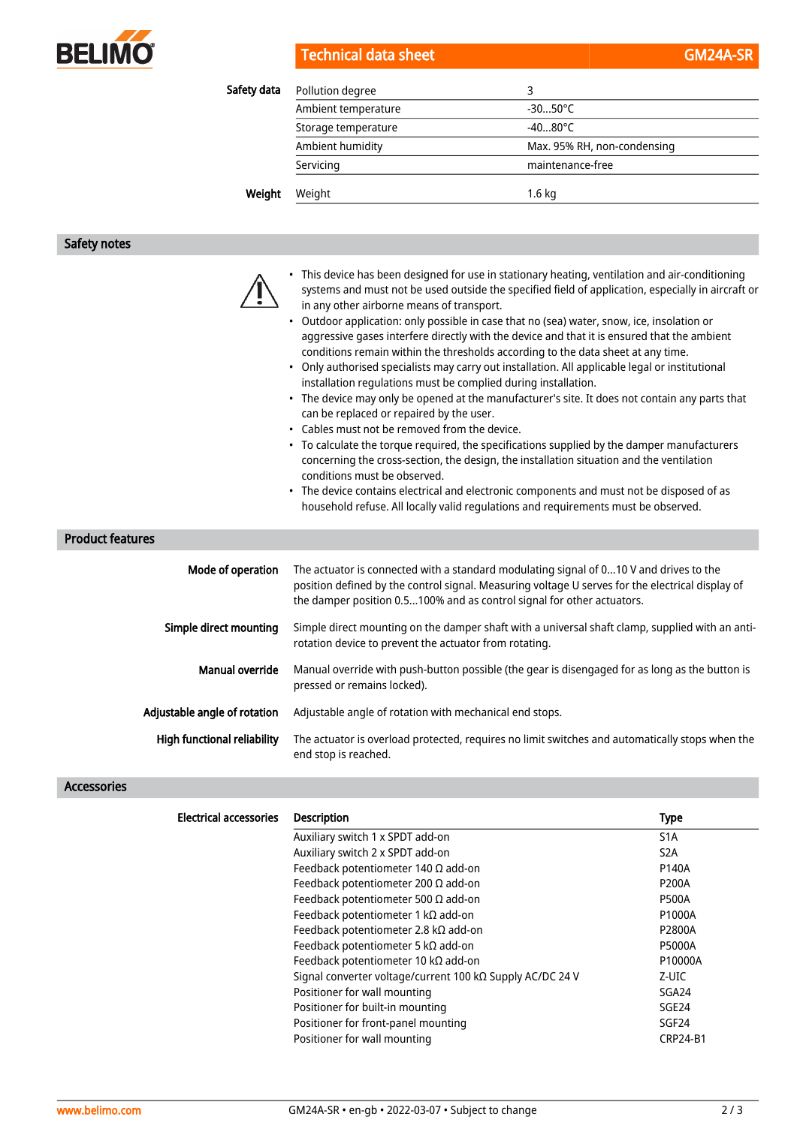

|  | Technical data sheet |  |  |  |
|--|----------------------|--|--|--|
|  |                      |  |  |  |
|  |                      |  |  |  |

| Safety data | Pollution degree    | 3                           |  |
|-------------|---------------------|-----------------------------|--|
|             | Ambient temperature | $-3050^{\circ}$ C           |  |
|             | Storage temperature | $-4080^{\circ}$ C           |  |
|             | Ambient humidity    | Max. 95% RH, non-condensing |  |
|             | Servicing           | maintenance-free            |  |
| Weight      | Weight              | $1.6 \text{ kg}$            |  |

# Safety notes

|                         |                   | This device has been designed for use in stationary heating, ventilation and air-conditioning<br>systems and must not be used outside the specified field of application, especially in aircraft or<br>in any other airborne means of transport.<br>Outdoor application: only possible in case that no (sea) water, snow, ice, insolation or<br>$\bullet$<br>aggressive gases interfere directly with the device and that it is ensured that the ambient<br>conditions remain within the thresholds according to the data sheet at any time.<br>Only authorised specialists may carry out installation. All applicable legal or institutional<br>$\bullet$<br>installation regulations must be complied during installation.<br>• The device may only be opened at the manufacturer's site. It does not contain any parts that<br>can be replaced or repaired by the user.<br>• Cables must not be removed from the device.<br>• To calculate the torque required, the specifications supplied by the damper manufacturers<br>concerning the cross-section, the design, the installation situation and the ventilation<br>conditions must be observed.<br>• The device contains electrical and electronic components and must not be disposed of as<br>household refuse. All locally valid regulations and requirements must be observed. |
|-------------------------|-------------------|-------------------------------------------------------------------------------------------------------------------------------------------------------------------------------------------------------------------------------------------------------------------------------------------------------------------------------------------------------------------------------------------------------------------------------------------------------------------------------------------------------------------------------------------------------------------------------------------------------------------------------------------------------------------------------------------------------------------------------------------------------------------------------------------------------------------------------------------------------------------------------------------------------------------------------------------------------------------------------------------------------------------------------------------------------------------------------------------------------------------------------------------------------------------------------------------------------------------------------------------------------------------------------------------------------------------------------------------|
| <b>Product features</b> |                   |                                                                                                                                                                                                                                                                                                                                                                                                                                                                                                                                                                                                                                                                                                                                                                                                                                                                                                                                                                                                                                                                                                                                                                                                                                                                                                                                           |
|                         | Mode of operation | The actuator is connected with a standard modulating signal of 010 V and drives to the<br>position defined by the control signal. Measuring voltage U serves for the electrical display of<br>the damper position 0.5100% and as control signal for other actuators.                                                                                                                                                                                                                                                                                                                                                                                                                                                                                                                                                                                                                                                                                                                                                                                                                                                                                                                                                                                                                                                                      |
|                         |                   | المالية والمستنقص والمستنقص والمستنقص والمستنقص والمستنقص والمستنقص والمستنقص والمستنقص والمستنقص والمستنقص والمستنقص والمستنقص والمستنقص والمستنقص والمستنقص والمستنقص والمستنقص والمستنقص والمستنقص والمستنقص والمستنقص والم                                                                                                                                                                                                                                                                                                                                                                                                                                                                                                                                                                                                                                                                                                                                                                                                                                                                                                                                                                                                                                                                                                            |

| Simple direct mounting       | Simple direct mounting on the damper shaft with a universal shaft clamp, supplied with an anti-<br>rotation device to prevent the actuator from rotating. |
|------------------------------|-----------------------------------------------------------------------------------------------------------------------------------------------------------|
| Manual override              | Manual override with push-button possible (the gear is disengaged for as long as the button is<br>pressed or remains locked).                             |
| Adjustable angle of rotation | Adjustable angle of rotation with mechanical end stops.                                                                                                   |

| <b>High functional reliability</b> The actuator is overload protected, requires no limit switches and automatically stops when the |
|------------------------------------------------------------------------------------------------------------------------------------|
| end stop is reached.                                                                                                               |

### Accessories

| <b>Electrical accessories</b> | <b>Description</b>                                        | <b>Type</b>       |
|-------------------------------|-----------------------------------------------------------|-------------------|
|                               | Auxiliary switch 1 x SPDT add-on                          | S <sub>1</sub> A  |
|                               | Auxiliary switch 2 x SPDT add-on                          | S <sub>2</sub> A  |
|                               | Feedback potentiometer 140 $\Omega$ add-on                | P140A             |
|                               | Feedback potentiometer 200 $\Omega$ add-on                | <b>P200A</b>      |
|                               | Feedback potentiometer 500 $\Omega$ add-on                | <b>P500A</b>      |
|                               | Feedback potentiometer 1 k $\Omega$ add-on                | P1000A            |
|                               | Feedback potentiometer 2.8 k $\Omega$ add-on              | P2800A            |
|                               | Feedback potentiometer 5 k $\Omega$ add-on                | <b>P5000A</b>     |
|                               | Feedback potentiometer 10 k $\Omega$ add-on               | P10000A           |
|                               | Signal converter voltage/current 100 kΩ Supply AC/DC 24 V | Z-UIC             |
|                               | Positioner for wall mounting                              | SGA24             |
|                               | Positioner for built-in mounting                          | SGE <sub>24</sub> |
|                               | Positioner for front-panel mounting                       | SGF24             |
|                               | Positioner for wall mounting                              | <b>CRP24-B1</b>   |